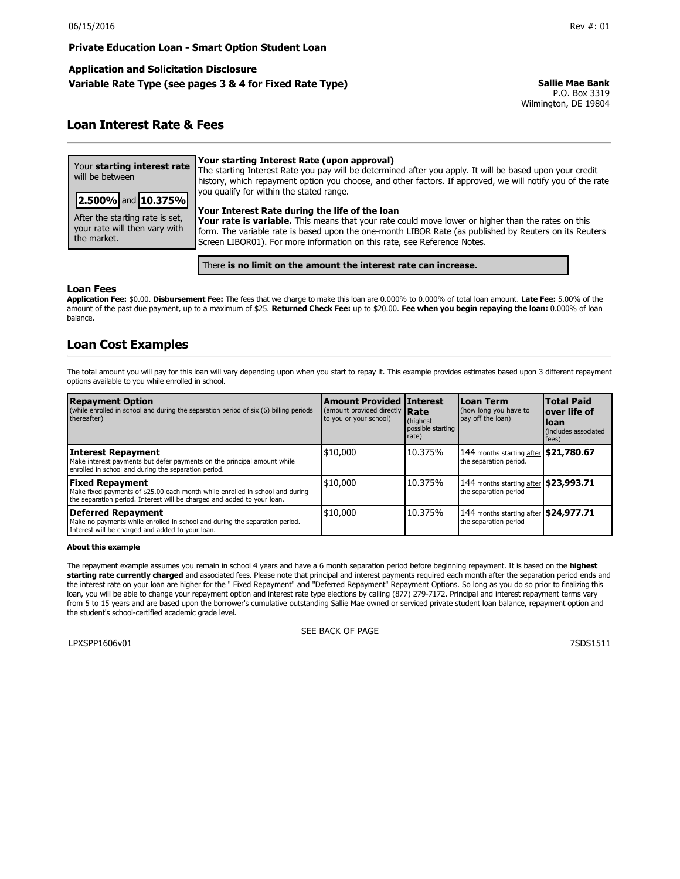## **Private Education Loan - Smart Option Student Loan**

# **Application and Solicitation Disclosure Variable Rate Type (see pages 3 & 4 for Fixed Rate Type) Sallie Mae Bank**

P.O. Box 3319 Wilmington, DE 19804

# **Loan Interest Rate & Fees**

| Your starting interest rate<br>will be between                                                        | Your starting Interest Rate (upon approval)<br>The starting Interest Rate you pay will be determined after you apply. It will be based upon your credit<br>history, which repayment option you choose, and other factors. If approved, we will notify you of the rate                                                                                                                  |
|-------------------------------------------------------------------------------------------------------|----------------------------------------------------------------------------------------------------------------------------------------------------------------------------------------------------------------------------------------------------------------------------------------------------------------------------------------------------------------------------------------|
| 2.500% and 10.375%<br>After the starting rate is set,<br>your rate will then vary with<br>the market. | you qualify for within the stated range.<br>Your Interest Rate during the life of the loan<br>Your rate is variable. This means that your rate could move lower or higher than the rates on this<br>form. The variable rate is based upon the one-month LIBOR Rate (as published by Reuters on its Reuters<br>Screen LIBOR01). For more information on this rate, see Reference Notes. |
|                                                                                                       |                                                                                                                                                                                                                                                                                                                                                                                        |

There **is no limit on the amount the interest rate can increase.**

## **Loan Fees**

**Application Fee:** \$0.00. **Disbursement Fee:** The fees that we charge to make this loan are 0.000% to 0.000% of total loan amount. **Late Fee:** 5.00% of the amount of the past due payment, up to a maximum of \$25. **Returned Check Fee:** up to \$20.00. **Fee when you begin repaying the loan:** 0.000% of loan balance.

# **Loan Cost Examples**

The total amount you will pay for this loan will vary depending upon when you start to repay it. This example provides estimates based upon 3 different repayment options available to you while enrolled in school.

| <b>Repayment Option</b><br>(while enrolled in school and during the separation period of six (6) billing periods<br>thereafter)                                                    | <b>Amount Provided Interest</b><br>(amount provided directly <b>Rate</b><br>to you or your school) | (highest)<br>possible starting<br>rate) | Loan Term<br>(how long you have to<br>pay off the loan)         | <b>Total Paid</b><br>lover life of<br>lloan<br>(includes associated)<br>fees) |
|------------------------------------------------------------------------------------------------------------------------------------------------------------------------------------|----------------------------------------------------------------------------------------------------|-----------------------------------------|-----------------------------------------------------------------|-------------------------------------------------------------------------------|
| <b>Interest Repayment</b><br>Make interest payments but defer payments on the principal amount while<br>enrolled in school and during the separation period.                       | \$10,000                                                                                           | 10.375%                                 | 144 months starting after \$21,780.67<br>the separation period. |                                                                               |
| <b>Fixed Repayment</b><br>Make fixed payments of \$25.00 each month while enrolled in school and during<br>the separation period. Interest will be charged and added to your loan. | \$10,000                                                                                           | 10.375%                                 | 144 months starting after \$23,993.71<br>the separation period  |                                                                               |
| Deferred Repayment<br>Make no payments while enrolled in school and during the separation period.<br>Interest will be charged and added to your loan.                              | \$10,000                                                                                           | 10.375%                                 | 144 months starting after \$24,977.71<br>the separation period  |                                                                               |

## **About this example**

The repayment example assumes you remain in school 4 years and have a 6 month separation period before beginning repayment. It is based on the **highest starting rate currently charged** and associated fees. Please note that principal and interest payments required each month after the separation period ends and the interest rate on your loan are higher for the " Fixed Repayment" and "Deferred Repayment" Repayment Options. So long as you do so prior to finalizing this loan, you will be able to change your repayment option and interest rate type elections by calling (877) 279-7172. Principal and interest repayment terms vary from 5 to 15 years and are based upon the borrower's cumulative outstanding Sallie Mae owned or serviced private student loan balance, repayment option and the student's school-certified academic grade level.

LPXSPP1606v01 7SDS1511

SEE BACK OF PAGE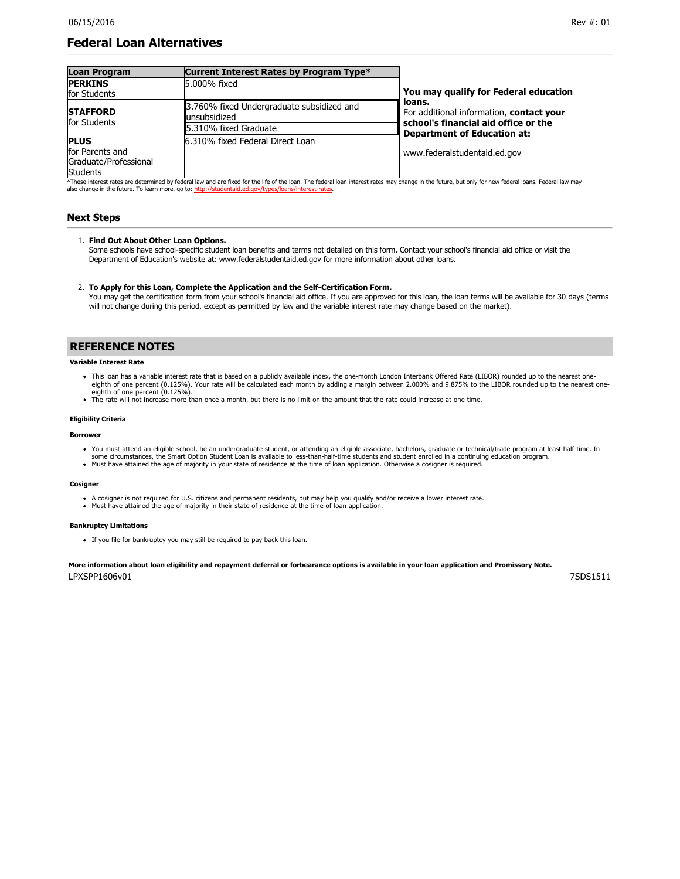# **Federal Loan Alternatives**

| <b>Loan Program</b>                                                        | Current Interest Rates by Program Type*                                            |                                                                                                                                  |
|----------------------------------------------------------------------------|------------------------------------------------------------------------------------|----------------------------------------------------------------------------------------------------------------------------------|
| <b>PERKINS</b><br>for Students                                             | 5.000% fixed                                                                       | You may qualify for Federal education                                                                                            |
| <b>STAFFORD</b><br>for Students                                            | 3.760% fixed Undergraduate subsidized and<br>unsubsidized<br>5.310% fixed Graduate | loans.<br>For additional information, contact your<br>school's financial aid office or the<br><b>Department of Education at:</b> |
| <b>PLUS</b><br>for Parents and<br>Graduate/Professional<br><b>Students</b> | 6.310% fixed Federal Direct Loan                                                   | www.federalstudentaid.ed.gov                                                                                                     |

\*These interest rates are determined by federal law and are fixed for the life of the loan. The federal loan interest rates may change in the future, but only for new federal loans. Federal law may also change in the future. To learn more, go to: http://stud

## **Next Steps**

## 1. **Find Out About Other Loan Options.**

Some schools have school-specific student loan benefits and terms not detailed on this form. Contact your school's financial aid office or visit the Department of Education's website at: www.federalstudentaid.ed.gov for more information about other loans.

### 2. To Apply for this Loan, Complete the Application and the Self-Certification Form.

You may get the certification form from your school's financial aid office. If you are approved for this loan, the loan terms will be available for 30 days (terms will not change during this period, except as permitted by law and the variable interest rate may change based on the market).

## **REFERENCE NOTES**

#### **Variable Interest Rate**

- . This loan has a variable interest rate that is based on a publicly available index, the one-month London Interbank Offered Rate (LIBOR) rounded up to the nearest oneeighth of one percent (0.125%). Your rate will be calculated each month by adding a margin between 2.000% and 9.875% to the LIBOR rounded up to the nearest oneeighth of one percent (0.125%)
- The rate will not increase more than once a month, but there is no limit on the amount that the rate could increase at one time.

## **Eligibility Criteria**

#### **Borrower**

- You must attend an eligible school, be an undergraduate student, or attending an eligible associate, bachelors, graduate or technical/trade program at least halftime. In some circumstances, the Smart Option Student Loan is available to less-than-half-time students and student enrolled in a continuing education program.
- Must have attained the age of majority in your state of residence at the time of loan application. Otherwise a cosigner is required.

#### **Cosigner**

- A cosigner is not required for U.S. citizens and permanent residents, but may help you qualify and/or receive a lower interest rate.
- Must have attained the age of majority in their state of residence at the time of loan application.

#### **Bankruptcy Limitations**

If you file for bankruptcy you may still be required to pay back this loan.

#### **More information about loan eligibility and repayment deferral or forbearance options is available in your loan application and Promissory Note.**

LPXSPP1606v01 7SDS1511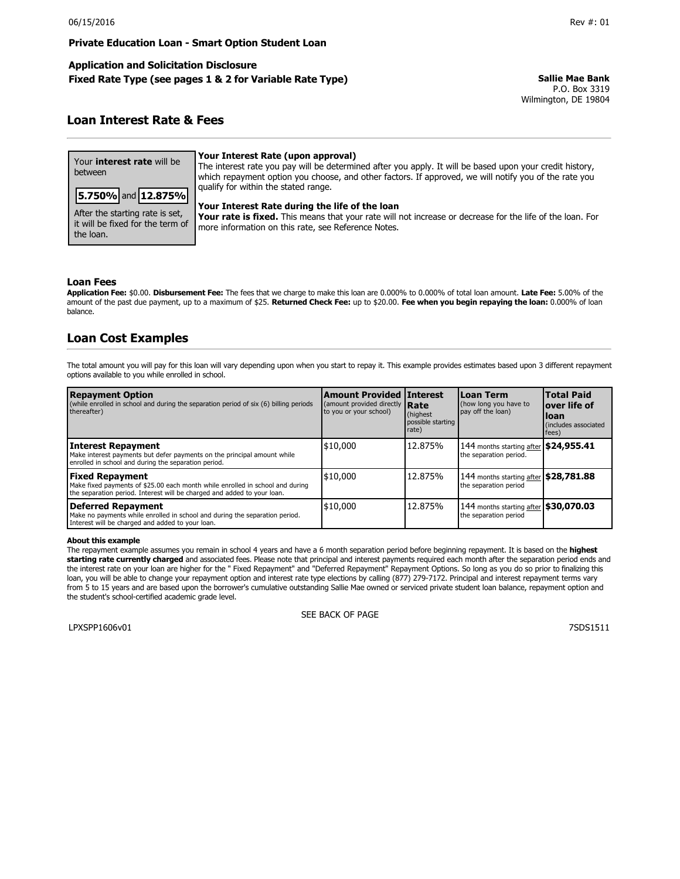**Private Education Loan - Smart Option Student Loan** 

## **Application and Solicitation Disclosure Fixed Rate Type (see pages 1 & 2 for Variable Rate Type) Sallie Mae Bank**

P.O. Box 3319 Wilmington, DE 19804

# **Loan Interest Rate & Fees**

| Your <b>interest rate</b> will be<br>between                                     | Your Interest Rate (upon approval)<br>The interest rate you pay will be determined after you apply. It will be based upon your credit history,<br>which repayment option you choose, and other factors. If approved, we will notify you of the rate you |
|----------------------------------------------------------------------------------|---------------------------------------------------------------------------------------------------------------------------------------------------------------------------------------------------------------------------------------------------------|
| 5.750% and 12.875%                                                               | qualify for within the stated range.                                                                                                                                                                                                                    |
| After the starting rate is set,<br>it will be fixed for the term of<br>the loan. | Your Interest Rate during the life of the loan<br>Your rate is fixed. This means that your rate will not increase or decrease for the life of the loan. For<br>more information on this rate, see Reference Notes.                                      |

## **Loan Fees**

**Application Fee:** \$0.00. **Disbursement Fee:** The fees that we charge to make this loan are 0.000% to 0.000% of total loan amount. **Late Fee:** 5.00% of the amount of the past due payment, up to a maximum of \$25. **Returned Check Fee:** up to \$20.00. **Fee when you begin repaying the loan:** 0.000% of loan balance.

# **Loan Cost Examples**

The total amount you will pay for this loan will vary depending upon when you start to repay it. This example provides estimates based upon 3 different repayment options available to you while enrolled in school.

| <b>Repayment Option</b><br>(while enrolled in school and during the separation period of six (6) billing periods<br>thereafter)                                                    | <b>Amount Provided Interest</b><br>(amount provided directly <b>Rate</b><br>to you or your school) | (highest)<br>possible starting<br>rate) | Loan Term<br>(how long you have to<br>pay off the loan)         | <b>Total Paid</b><br>lover life of<br>Iloan<br>(includes associated<br>fees) |
|------------------------------------------------------------------------------------------------------------------------------------------------------------------------------------|----------------------------------------------------------------------------------------------------|-----------------------------------------|-----------------------------------------------------------------|------------------------------------------------------------------------------|
| <b>Interest Repayment</b><br>Make interest payments but defer payments on the principal amount while<br>enrolled in school and during the separation period.                       | \$10,000                                                                                           | 12.875%                                 | 144 months starting after \$24,955.41<br>the separation period. |                                                                              |
| <b>Fixed Repayment</b><br>Make fixed payments of \$25.00 each month while enrolled in school and during<br>the separation period. Interest will be charged and added to your loan. | \$10,000                                                                                           | 12.875%                                 | 144 months starting after \$28,781.88<br>the separation period  |                                                                              |
| <b>Deferred Repayment</b><br>Make no payments while enrolled in school and during the separation period.<br>Interest will be charged and added to your loan.                       | \$10,000                                                                                           | 12.875%                                 | 144 months starting after \$30,070.03<br>the separation period  |                                                                              |

#### **About this example**

The repayment example assumes you remain in school 4 years and have a 6 month separation period before beginning repayment. It is based on the **highest starting rate currently charged** and associated fees. Please note that principal and interest payments required each month after the separation period ends and the interest rate on your loan are higher for the " Fixed Repayment" and "Deferred Repayment" Repayment Options. So long as you do so prior to finalizing this loan, you will be able to change your repayment option and interest rate type elections by calling (877) 279-7172. Principal and interest repayment terms vary from 5 to 15 years and are based upon the borrower's cumulative outstanding Sallie Mae owned or serviced private student loan balance, repayment option and the student's school-certified academic grade level.

LPXSPP1606v01 7SDS1511

SEE BACK OF PAGE